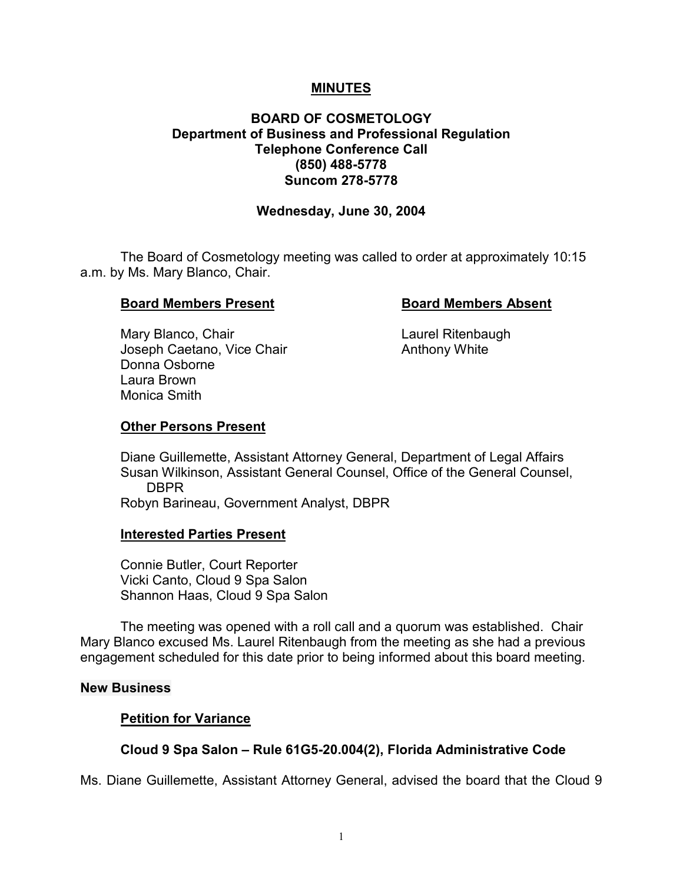## **MINUTES**

## **BOARD OF COSMETOLOGY Department of Business and Professional Regulation Telephone Conference Call (850) 488-5778 Suncom 278-5778**

### **Wednesday, June 30, 2004**

The Board of Cosmetology meeting was called to order at approximately 10:15 a.m. by Ms. Mary Blanco, Chair.

## **Board Members Present Communist Board Members Absent**

Mary Blanco, Chair **Laurel Ritenbaugh** Joseph Caetano, Vice Chair **Anthony White** Donna Osborne Laura Brown Monica Smith

## **Other Persons Present**

Diane Guillemette, Assistant Attorney General, Department of Legal Affairs Susan Wilkinson, Assistant General Counsel, Office of the General Counsel, DBPR

Robyn Barineau, Government Analyst, DBPR

### **Interested Parties Present**

Connie Butler, Court Reporter Vicki Canto, Cloud 9 Spa Salon Shannon Haas, Cloud 9 Spa Salon

The meeting was opened with a roll call and a quorum was established. Chair Mary Blanco excused Ms. Laurel Ritenbaugh from the meeting as she had a previous engagement scheduled for this date prior to being informed about this board meeting.

### **New Business**

### **Petition for Variance**

# **Cloud 9 Spa Salon – Rule 61G5-20.004(2), Florida Administrative Code**

Ms. Diane Guillemette, Assistant Attorney General, advised the board that the Cloud 9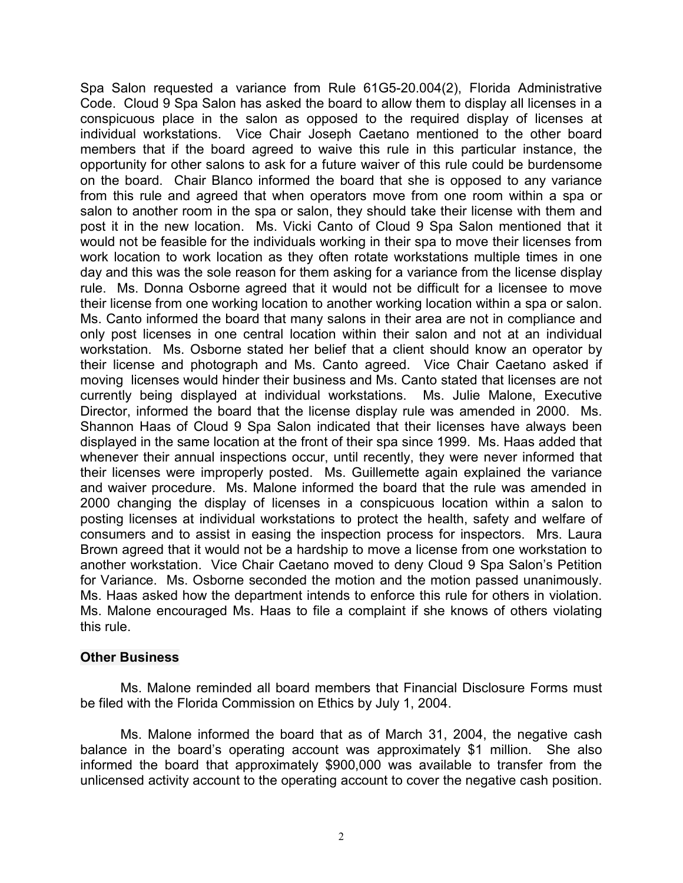Spa Salon requested a variance from Rule 61G5-20.004(2), Florida Administrative Code. Cloud 9 Spa Salon has asked the board to allow them to display all licenses in a conspicuous place in the salon as opposed to the required display of licenses at individual workstations. Vice Chair Joseph Caetano mentioned to the other board members that if the board agreed to waive this rule in this particular instance, the opportunity for other salons to ask for a future waiver of this rule could be burdensome on the board. Chair Blanco informed the board that she is opposed to any variance from this rule and agreed that when operators move from one room within a spa or salon to another room in the spa or salon, they should take their license with them and post it in the new location. Ms. Vicki Canto of Cloud 9 Spa Salon mentioned that it would not be feasible for the individuals working in their spa to move their licenses from work location to work location as they often rotate workstations multiple times in one day and this was the sole reason for them asking for a variance from the license display rule. Ms. Donna Osborne agreed that it would not be difficult for a licensee to move their license from one working location to another working location within a spa or salon. Ms. Canto informed the board that many salons in their area are not in compliance and only post licenses in one central location within their salon and not at an individual workstation. Ms. Osborne stated her belief that a client should know an operator by their license and photograph and Ms. Canto agreed. Vice Chair Caetano asked if moving licenses would hinder their business and Ms. Canto stated that licenses are not currently being displayed at individual workstations. Ms. Julie Malone, Executive Director, informed the board that the license display rule was amended in 2000. Ms. Shannon Haas of Cloud 9 Spa Salon indicated that their licenses have always been displayed in the same location at the front of their spa since 1999. Ms. Haas added that whenever their annual inspections occur, until recently, they were never informed that their licenses were improperly posted. Ms. Guillemette again explained the variance and waiver procedure. Ms. Malone informed the board that the rule was amended in 2000 changing the display of licenses in a conspicuous location within a salon to posting licenses at individual workstations to protect the health, safety and welfare of consumers and to assist in easing the inspection process for inspectors. Mrs. Laura Brown agreed that it would not be a hardship to move a license from one workstation to another workstation. Vice Chair Caetano moved to deny Cloud 9 Spa Salon's Petition for Variance. Ms. Osborne seconded the motion and the motion passed unanimously. Ms. Haas asked how the department intends to enforce this rule for others in violation. Ms. Malone encouraged Ms. Haas to file a complaint if she knows of others violating this rule.

### **Other Business**

Ms. Malone reminded all board members that Financial Disclosure Forms must be filed with the Florida Commission on Ethics by July 1, 2004.

Ms. Malone informed the board that as of March 31, 2004, the negative cash balance in the board's operating account was approximately \$1 million. She also informed the board that approximately \$900,000 was available to transfer from the unlicensed activity account to the operating account to cover the negative cash position.